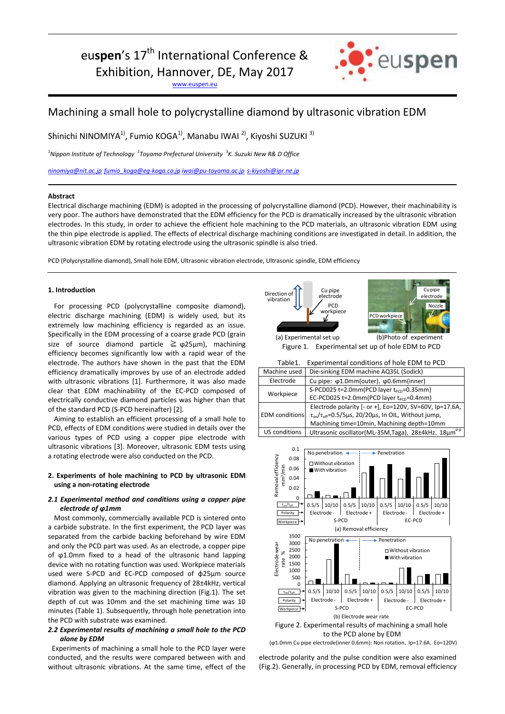eu**spen**'s 17<sup>th</sup> International Conference &

Exhibition, Hannover, DE, May 2017

[www.euspen.eu](http://www.euspen.eu/)



# Machining a small hole to polycrystalline diamond by ultrasonic vibration EDM

Shinichi NINOMIYA<sup>1)</sup>, Fumio KOGA<sup>1)</sup>, Manabu IWAI <sup>2)</sup>, Kiyoshi SUZUKI <sup>3)</sup>

<sup>1</sup>Nippon Institute of Technology <sup>2</sup>Toyama Prefectural University <sup>3</sup>K. Suzuki New R& D Office

*[ninomiya@nit.ac.jp](mailto:ninomiya@nit.ac.jp) [fumio\\_koga@eg-koga.co.jp](mailto:fumio_koga@eg-koga.co.jp) [iwai@pu-toyama.ac.jp](mailto:iwai@pu-toyama.ac.jp) [s-kiyoshi@ipr.ne.jp](mailto:s-kiyoshi@ipr.ne.jp)*

#### **Abstract**

Electrical discharge machining (EDM) is adopted in the processing of polycrystalline diamond (PCD). However, their machinability is very poor. The authors have demonstrated that the EDM efficiency for the PCD is dramatically increased by the ultrasonic vibration electrodes. In this study, in order to achieve the efficient hole machining to the PCD materials, an ultrasonic vibration EDM using the thin pipe electrode is applied. The effects of electrical discharge machining conditions are investigated in detail. In addition, the ultrasonic vibration EDM by rotating electrode using the ultrasonic spindle is also tried.

PCD (Polycrystalline diamond), Small hole EDM, Ultrasonic vibration electrode, Ultrasonic spindle, EDM efficiency

#### **1. Introduction**

For processing PCD (polycrystalline composite diamond), electric discharge machining (EDM) is widely used, but its extremely low machining efficiency is regarded as an issue. Specifically in the EDM processing of a coarse grade PCD (grain size of source diamond particle  $\geq \varphi 25 \mu m$ ), machining efficiency becomes significantly low with a rapid wear of the electrode. The authors have shown in the past that the EDM efficiency dramatically improves by use of an electrode added with ultrasonic vibrations [1]. Furthermore, it was also made clear that EDM machinability of the EC-PCD composed of electrically conductive diamond particles was higher than that of the standard PCD (S-PCD hereinafter) [2].

Aiming to establish an efficient processing of a small hole to PCD, effects of EDM conditions were studied in details over the various types of PCD using a copper pipe electrode with ultrasonic vibrations [3]. Moreover, ultrasonic EDM tests using a rotating electrode were also conducted on the PCD.

### **2. Experiments of hole machining to PCD by ultrasonic EDM using a non-rotating electrode**

## *2.1 Experimental method and conditions using a copper pipe electrode of ϕ1mm*

Most commonly, commercially available PCD is sintered onto a carbide substrate. In the first experiment, the PCD layer was separated from the carbide backing beforehand by wire EDM and only the PCD part was used. As an electrode, a copper pipe of ϕ1.0mm fixed to a head of the ultrasonic hand lapping device with no rotating function was used. Workpiece materials used were S-PCD and EC-PCD composed of φ25µm source diamond. Applying an ultrasonic frequency of 28±4kHz, vertical vibration was given to the machining direction (Fig.1). The set depth of cut was 10mm and the set machining time was 10 minutes (Table 1). Subsequently, through hole penetration into the PCD with substrate was examined.

#### *2.2 Experimental results of machining a small hole to the PCD alone by EDM*

Experiments of machining a small hole to the PCD layer were conducted, and the results were compared between with and without ultrasonic vibrations. At the same time, effect of the



Figure 1. Experimental set up of hole EDM to PCD

| Experimental conditions of hole EDM to PCD<br>Table1. |  |
|-------------------------------------------------------|--|
|-------------------------------------------------------|--|

| Machine used          | Die-sinking EDM machine AQ35L (Sodick)                                      |
|-----------------------|-----------------------------------------------------------------------------|
| Electrode             | Cu pipe: φ1.0mm(outer), φ0.6mm(inner)                                       |
| Workpiece             | S-PCD025 t=2.0mm(PCD layer t <sub>pcD</sub> =0.35mm)                        |
|                       | EC-PCD025 t=2.0mm(PCD layer $t_{PCD}$ =0.4mm)                               |
| <b>EDM</b> conditions | Electrode polarity [- or +], Eo=120V, SV=60V, Ip=17.6A,                     |
|                       | $\tau_{on}/\tau_{off}$ =0.5/5 $\mu$ s, 20/20 $\mu$ s, In OIL, Without jump, |
|                       | Machining time=10min, Machining depth=10mm                                  |
| US conditions         | Ultrasonic oscillator(ML-35M, Taga), 28±4kHz, 18µm <sup>p-p</sup>           |



(φ1.0mm Cu pipe electrode(inner 0.6mm): Non rotation, Ip=17.6A, Eo=120V)

electrode polarity and the pulse condition were also examined (Fig.2). Generally, in processing PCD by EDM, removal efficiency